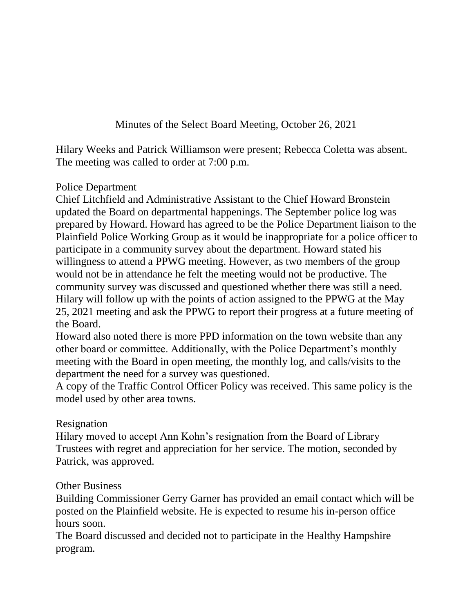Minutes of the Select Board Meeting, October 26, 2021

Hilary Weeks and Patrick Williamson were present; Rebecca Coletta was absent. The meeting was called to order at 7:00 p.m.

## Police Department

Chief Litchfield and Administrative Assistant to the Chief Howard Bronstein updated the Board on departmental happenings. The September police log was prepared by Howard. Howard has agreed to be the Police Department liaison to the Plainfield Police Working Group as it would be inappropriate for a police officer to participate in a community survey about the department. Howard stated his willingness to attend a PPWG meeting. However, as two members of the group would not be in attendance he felt the meeting would not be productive. The community survey was discussed and questioned whether there was still a need. Hilary will follow up with the points of action assigned to the PPWG at the May 25, 2021 meeting and ask the PPWG to report their progress at a future meeting of the Board.

Howard also noted there is more PPD information on the town website than any other board or committee. Additionally, with the Police Department's monthly meeting with the Board in open meeting, the monthly log, and calls/visits to the department the need for a survey was questioned.

A copy of the Traffic Control Officer Policy was received. This same policy is the model used by other area towns.

## Resignation

Hilary moved to accept Ann Kohn's resignation from the Board of Library Trustees with regret and appreciation for her service. The motion, seconded by Patrick, was approved.

## Other Business

Building Commissioner Gerry Garner has provided an email contact which will be posted on the Plainfield website. He is expected to resume his in-person office hours soon.

The Board discussed and decided not to participate in the Healthy Hampshire program.